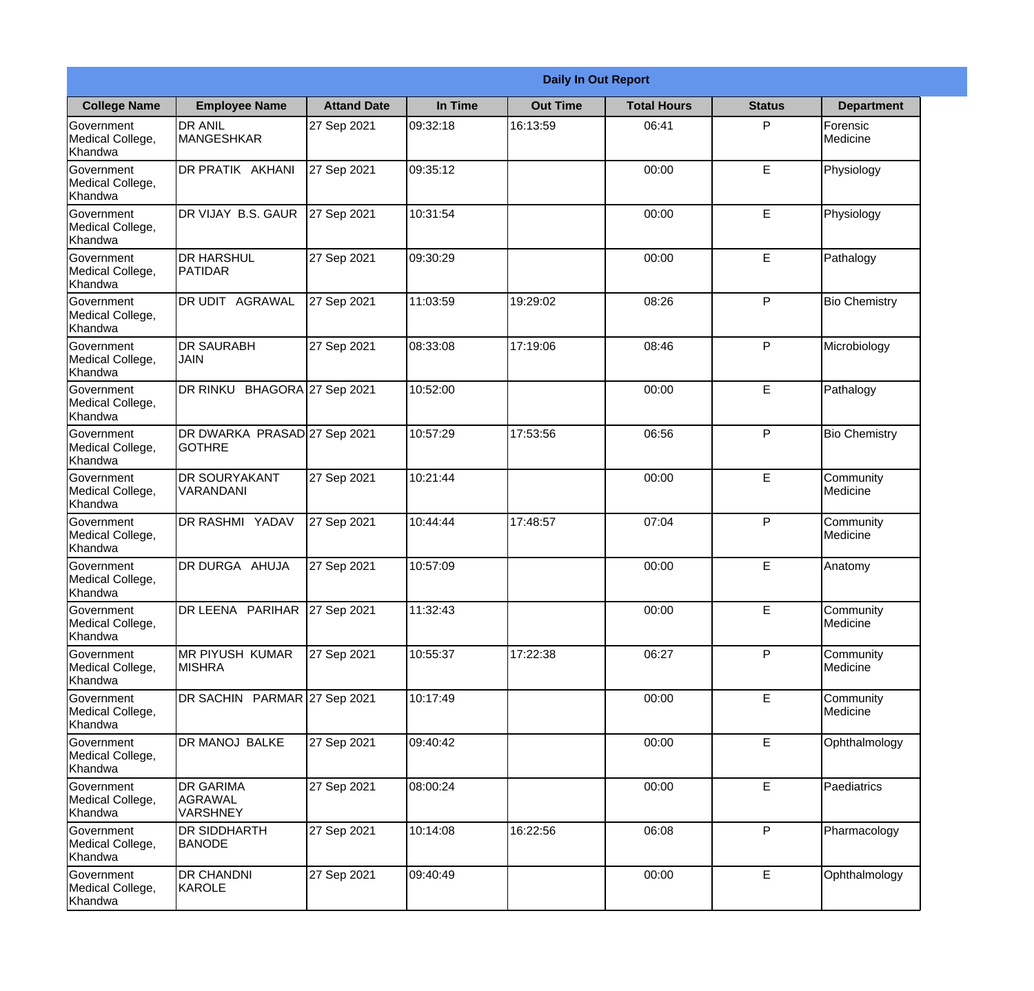|                                                  | <b>Daily In Out Report</b>                      |                    |          |                 |                    |               |                       |  |  |
|--------------------------------------------------|-------------------------------------------------|--------------------|----------|-----------------|--------------------|---------------|-----------------------|--|--|
| <b>College Name</b>                              | <b>Employee Name</b>                            | <b>Attand Date</b> | In Time  | <b>Out Time</b> | <b>Total Hours</b> | <b>Status</b> | <b>Department</b>     |  |  |
| Government<br>Medical College,<br>Khandwa        | <b>DR ANIL</b><br><b>MANGESHKAR</b>             | 27 Sep 2021        | 09:32:18 | 16:13:59        | 06:41              | P             | Forensic<br>Medicine  |  |  |
| Government<br>Medical College,<br>Khandwa        | DR PRATIK AKHANI                                | 27 Sep 2021        | 09:35:12 |                 | 00:00              | E             | Physiology            |  |  |
| <b>Government</b><br>Medical College,<br>Khandwa | DR VIJAY B.S. GAUR                              | 27 Sep 2021        | 10:31:54 |                 | 00:00              | E             | Physiology            |  |  |
| Government<br>Medical College,<br>Khandwa        | <b>DR HARSHUL</b><br>PATIDAR                    | 27 Sep 2021        | 09:30:29 |                 | 00:00              | E             | Pathalogy             |  |  |
| <b>Government</b><br>Medical College,<br>Khandwa | <b>DR UDIT AGRAWAL</b>                          | 27 Sep 2021        | 11:03:59 | 19:29:02        | 08:26              | P             | <b>Bio Chemistry</b>  |  |  |
| Government<br>Medical College,<br>Khandwa        | <b>DR SAURABH</b><br>JAIN                       | 27 Sep 2021        | 08:33:08 | 17:19:06        | 08:46              | P             | Microbiology          |  |  |
| Government<br>Medical College,<br>Khandwa        | DR RINKU BHAGORA 27 Sep 2021                    |                    | 10:52:00 |                 | 00:00              | E             | Pathalogy             |  |  |
| Government<br>Medical College,<br>Khandwa        | DR DWARKA PRASAD 27 Sep 2021<br><b>I</b> GOTHRE |                    | 10:57:29 | 17:53:56        | 06:56              | P             | <b>Bio Chemistry</b>  |  |  |
| Government<br>Medical College,<br>Khandwa        | <b>DR SOURYAKANT</b><br>VARANDANI               | 27 Sep 2021        | 10:21:44 |                 | 00:00              | E             | Community<br>Medicine |  |  |
| Government<br>Medical College,<br>Khandwa        | DR RASHMI YADAV                                 | 27 Sep 2021        | 10:44:44 | 17:48:57        | 07:04              | P             | Community<br>Medicine |  |  |
| Government<br>Medical College,<br>Khandwa        | DR DURGA AHUJA                                  | 27 Sep 2021        | 10:57:09 |                 | 00:00              | E             | Anatomy               |  |  |
| Government<br>Medical College,<br>Khandwa        | DR LEENA PARIHAR                                | 27 Sep 2021        | 11:32:43 |                 | 00:00              | E             | Community<br>Medicine |  |  |
| Government<br>Medical College,<br>Khandwa        | MR PIYUSH KUMAR<br><b>MISHRA</b>                | 27 Sep 2021        | 10:55:37 | 17:22:38        | 06:27              | P             | Community<br>Medicine |  |  |
| Government<br>Medical College,<br>Khandwa        | DR SACHIN PARMAR 27 Sep 2021                    |                    | 10:17:49 |                 | 00:00              | E             | Community<br>Medicine |  |  |
| <b>Government</b><br>Medical College,<br>Khandwa | DR MANOJ BALKE                                  | 27 Sep 2021        | 09:40:42 |                 | 00:00              | E             | Ophthalmology         |  |  |
| Government<br>Medical College,<br>Khandwa        | <b>DR GARIMA</b><br>AGRAWAL<br><b>VARSHNEY</b>  | 27 Sep 2021        | 08:00:24 |                 | 00:00              | E             | Paediatrics           |  |  |
| Government<br>Medical College,<br>Khandwa        | <b>DR SIDDHARTH</b><br><b>BANODE</b>            | 27 Sep 2021        | 10:14:08 | 16:22:56        | 06:08              | P             | Pharmacology          |  |  |
| Government<br>Medical College,<br>Khandwa        | <b>DR CHANDNI</b><br>KAROLE                     | 27 Sep 2021        | 09:40:49 |                 | 00:00              | E             | Ophthalmology         |  |  |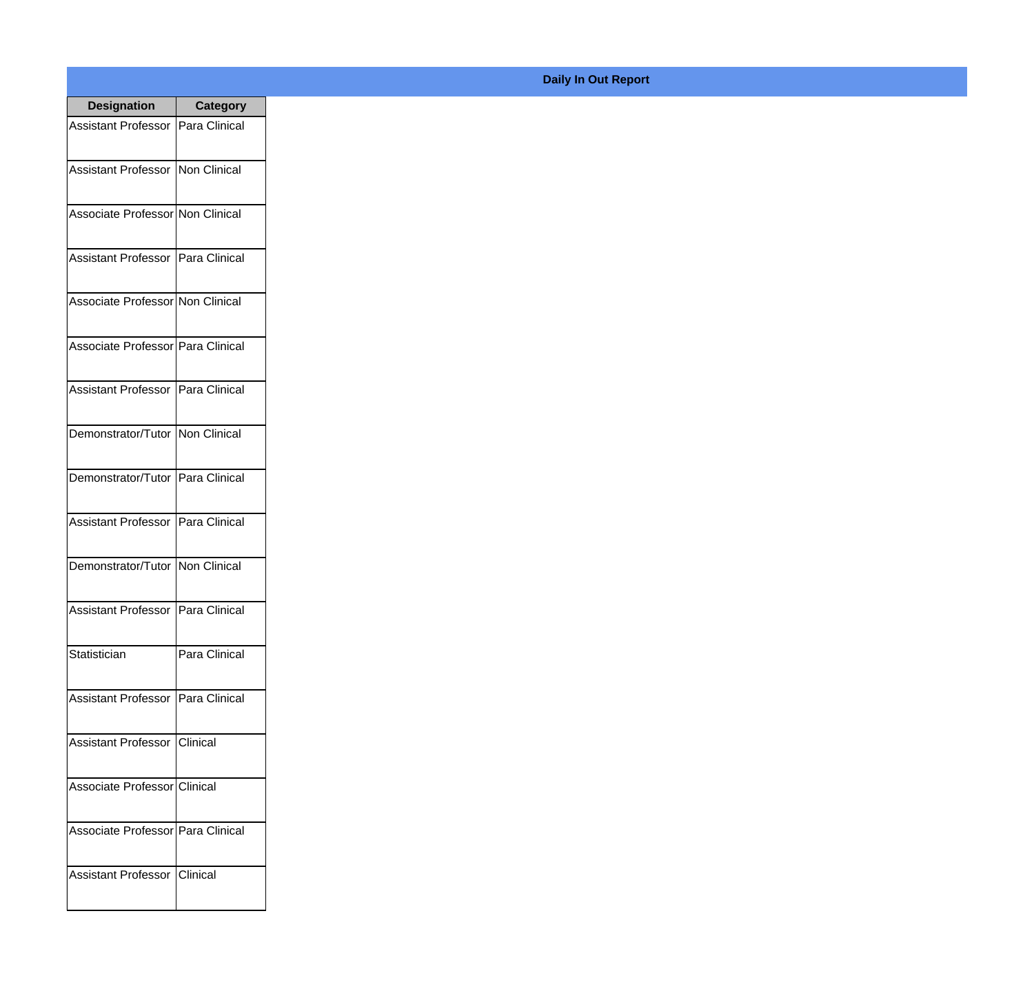| <b>Designation</b>                  | <b>Category</b> |
|-------------------------------------|-----------------|
| Assistant Professor   Para Clinical |                 |
| Assistant Professor   Non Clinical  |                 |
| Associate Professor Non Clinical    |                 |
| Assistant Professor   Para Clinical |                 |
| Associate Professor Non Clinical    |                 |
| Associate Professor Para Clinical   |                 |
| Assistant Professor   Para Clinical |                 |
| Demonstrator/Tutor   Non Clinical   |                 |
| Demonstrator/Tutor   Para Clinical  |                 |
| Assistant Professor                 | Para Clinical   |
| Demonstrator/Tutor                  | Non Clinical    |
| Assistant Professor   Para Clinical |                 |
| Statistician                        | Para Clinical   |
| Assistant Professor   Para Clinical |                 |
| <b>Assistant Professor</b>          | <b>Clinical</b> |
| Associate Professor Clinical        |                 |
| Associate Professor Para Clinical   |                 |
| Assistant Professor   Clinical      |                 |

## **Daily In Out Report**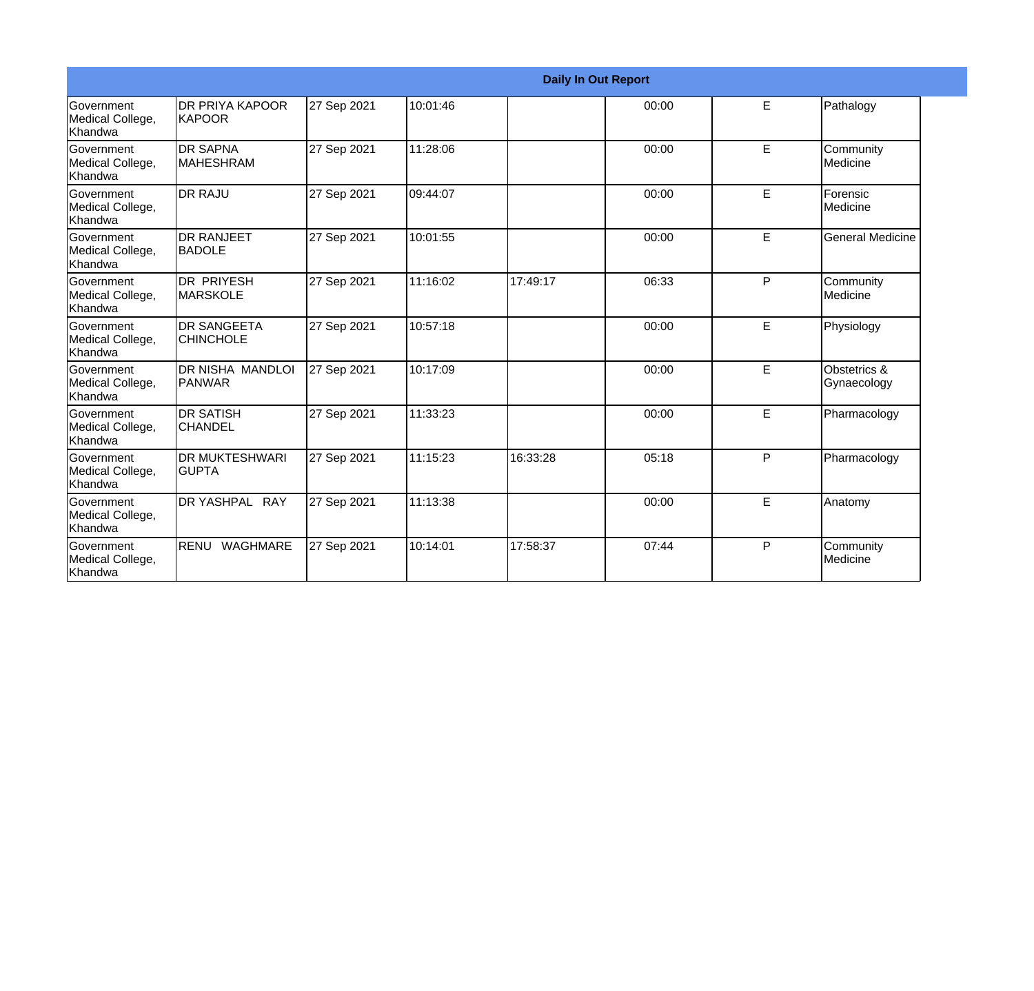|                                                         |                                        |             |          |          | <b>Daily In Out Report</b> |   |                              |
|---------------------------------------------------------|----------------------------------------|-------------|----------|----------|----------------------------|---|------------------------------|
| <b>Government</b><br>Medical College,<br>Khandwa        | <b>DR PRIYA KAPOOR</b><br>KAPOOR       | 27 Sep 2021 | 10:01:46 |          | 00:00                      | E | Pathalogy                    |
| <b>Government</b><br>Medical College,<br>Khandwa        | <b>DR SAPNA</b><br><b>MAHESHRAM</b>    | 27 Sep 2021 | 11:28:06 |          | 00:00                      | E | Community<br>Medicine        |
| <b>Government</b><br>Medical College,<br><b>Khandwa</b> | <b>DR RAJU</b>                         | 27 Sep 2021 | 09:44:07 |          | 00:00                      | E | Forensic<br><b>Medicine</b>  |
| <b>Government</b><br>Medical College,<br>Khandwa        | <b>DR RANJEET</b><br><b>BADOLE</b>     | 27 Sep 2021 | 10:01:55 |          | 00:00                      | E | General Medicine             |
| lGovernment<br>Medical College,<br>Khandwa              | <b>DR PRIYESH</b><br><b>MARSKOLE</b>   | 27 Sep 2021 | 11:16:02 | 17:49:17 | 06:33                      | P | Community<br>Medicine        |
| <b>Government</b><br>Medical College,<br><b>Khandwa</b> | <b>DR SANGEETA</b><br><b>CHINCHOLE</b> | 27 Sep 2021 | 10:57:18 |          | 00:00                      | E | Physiology                   |
| Government<br>Medical College,<br>Khandwa               | DR NISHA MANDLOI<br><b>PANWAR</b>      | 27 Sep 2021 | 10:17:09 |          | 00:00                      | E | Obstetrics &<br>Gynaecology  |
| <b>Government</b><br>Medical College,<br>Khandwa        | <b>DR SATISH</b><br><b>CHANDEL</b>     | 27 Sep 2021 | 11:33:23 |          | 00:00                      | E | Pharmacology                 |
| Government<br>Medical College,<br><b>Khandwa</b>        | <b>DR MUKTESHWARI</b><br><b>GUPTA</b>  | 27 Sep 2021 | 11:15:23 | 16:33:28 | 05:18                      | P | Pharmacology                 |
| <b>Government</b><br>Medical College,<br>Khandwa        | DR YASHPAL RAY                         | 27 Sep 2021 | 11:13:38 |          | 00:00                      | E | Anatomy                      |
| <b>Government</b><br>Medical College,<br>Khandwa        | RENU WAGHMARE                          | 27 Sep 2021 | 10:14:01 | 17:58:37 | 07:44                      | P | Community<br><b>Medicine</b> |